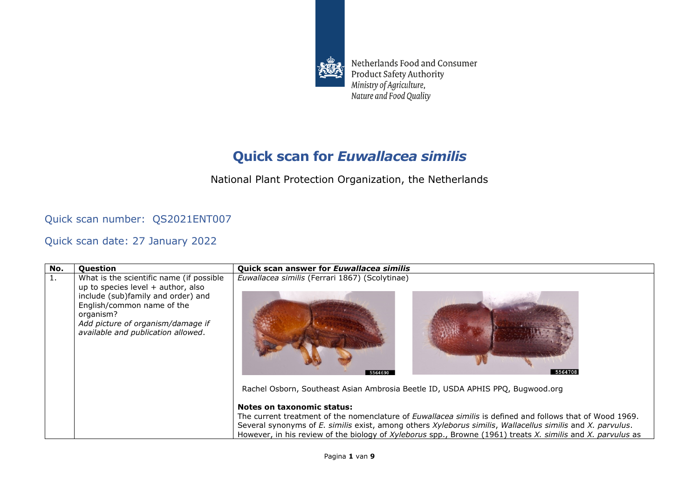

Netherlands Food and Consumer Product Safety Authority Ministry of Agriculture, Nature and Food Quality

## **Quick scan for** *Euwallacea similis*

National Plant Protection Organization, the Netherlands

## Quick scan number: QS2021ENT007

Quick scan date: 27 January 2022

| No. | Question                                                                                                                                                                                                                                     | Quick scan answer for Euwallacea similis                                                                                                                                                                                                                                                                                                      |
|-----|----------------------------------------------------------------------------------------------------------------------------------------------------------------------------------------------------------------------------------------------|-----------------------------------------------------------------------------------------------------------------------------------------------------------------------------------------------------------------------------------------------------------------------------------------------------------------------------------------------|
| 1.  | What is the scientific name (if possible<br>up to species level $+$ author, also<br>include (sub)family and order) and<br>English/common name of the<br>organism?<br>Add picture of organism/damage if<br>available and publication allowed. | Euwallacea similis (Ferrari 1867) (Scolytinae)<br>5564708<br>5564690                                                                                                                                                                                                                                                                          |
|     |                                                                                                                                                                                                                                              | Rachel Osborn, Southeast Asian Ambrosia Beetle ID, USDA APHIS PPQ, Bugwood.org                                                                                                                                                                                                                                                                |
|     |                                                                                                                                                                                                                                              | Notes on taxonomic status:                                                                                                                                                                                                                                                                                                                    |
|     |                                                                                                                                                                                                                                              | The current treatment of the nomenclature of <i>Euwallacea similis</i> is defined and follows that of Wood 1969.<br>Several synonyms of E. similis exist, among others Xyleborus similis, Wallacellus similis and X. parvulus.<br>However, in his review of the biology of Xyleborus spp., Browne (1961) treats X. similis and X. parvulus as |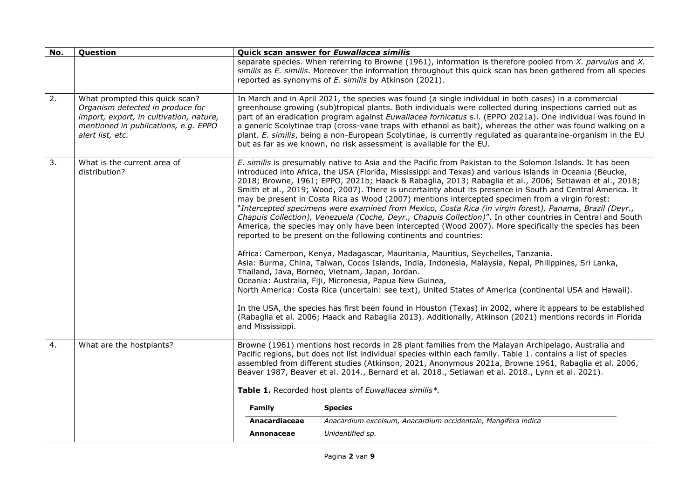| No. | Question                                                                                                                                                                  |                  | Quick scan answer for Euwallacea similis                                                                                                                                                                                                                                                                                                                                                                                                                                                                                                                                                                                                                                                                                                                                                                                                                                                                                                                  |
|-----|---------------------------------------------------------------------------------------------------------------------------------------------------------------------------|------------------|-----------------------------------------------------------------------------------------------------------------------------------------------------------------------------------------------------------------------------------------------------------------------------------------------------------------------------------------------------------------------------------------------------------------------------------------------------------------------------------------------------------------------------------------------------------------------------------------------------------------------------------------------------------------------------------------------------------------------------------------------------------------------------------------------------------------------------------------------------------------------------------------------------------------------------------------------------------|
|     |                                                                                                                                                                           |                  | separate species. When referring to Browne (1961), information is therefore pooled from $X$ . parvulus and $X$ .<br>similis as E. similis. Moreover the information throughout this quick scan has been gathered from all species<br>reported as synonyms of E. similis by Atkinson (2021).                                                                                                                                                                                                                                                                                                                                                                                                                                                                                                                                                                                                                                                               |
| 2.  | What prompted this quick scan?<br>Organism detected in produce for<br>import, export, in cultivation, nature,<br>mentioned in publications, e.g. EPPO<br>alert list, etc. |                  | In March and in April 2021, the species was found (a single individual in both cases) in a commercial<br>greenhouse growing (sub)tropical plants. Both individuals were collected during inspections carried out as<br>part of an eradication program against Euwallacea fornicatus s.l. (EPPO 2021a). One individual was found in<br>a generic Scolytinae trap (cross-vane traps with ethanol as bait), whereas the other was found walking on a<br>plant. E. similis, being a non-European Scolytinae, is currently regulated as quarantaine-organism in the EU<br>but as far as we known, no risk assessment is available for the EU.                                                                                                                                                                                                                                                                                                                  |
| 3.  | What is the current area of<br>distribution?                                                                                                                              |                  | E. similis is presumably native to Asia and the Pacific from Pakistan to the Solomon Islands. It has been<br>introduced into Africa, the USA (Florida, Mississippi and Texas) and various islands in Oceania (Beucke,<br>2018; Browne, 1961; EPPO, 2021b; Haack & Rabaglia, 2013; Rabaglia et al., 2006; Setiawan et al., 2018;<br>Smith et al., 2019; Wood, 2007). There is uncertainty about its presence in South and Central America. It<br>may be present in Costa Rica as Wood (2007) mentions intercepted specimen from a virgin forest:<br>"Intercepted specimens were examined from Mexico, Costa Rica (in virgin forest), Panama, Brazil (Deyr.,<br>Chapuis Collection), Venezuela (Coche, Deyr., Chapuis Collection)". In other countries in Central and South<br>America, the species may only have been intercepted (Wood 2007). More specifically the species has been<br>reported to be present on the following continents and countries: |
|     |                                                                                                                                                                           |                  | Africa: Cameroon, Kenya, Madagascar, Mauritania, Mauritius, Seychelles, Tanzania.<br>Asia: Burma, China, Taiwan, Cocos Islands, India, Indonesia, Malaysia, Nepal, Philippines, Sri Lanka,<br>Thailand, Java, Borneo, Vietnam, Japan, Jordan.<br>Oceania: Australia, Fiji, Micronesia, Papua New Guinea,<br>North America: Costa Rica (uncertain: see text), United States of America (continental USA and Hawaii).                                                                                                                                                                                                                                                                                                                                                                                                                                                                                                                                       |
|     |                                                                                                                                                                           | and Mississippi. | In the USA, the species has first been found in Houston (Texas) in 2002, where it appears to be established<br>(Rabaglia et al. 2006; Haack and Rabaglia 2013). Additionally, Atkinson (2021) mentions records in Florida                                                                                                                                                                                                                                                                                                                                                                                                                                                                                                                                                                                                                                                                                                                                 |
| 4.  | What are the hostplants?                                                                                                                                                  |                  | Browne (1961) mentions host records in 28 plant families from the Malayan Archipelago, Australia and<br>Pacific regions, but does not list individual species within each family. Table 1. contains a list of species<br>assembled from different studies (Atkinson, 2021, Anonymous 2021a, Browne 1961, Rabaglia et al. 2006,<br>Beaver 1987, Beaver et al. 2014., Bernard et al. 2018., Setiawan et al. 2018., Lynn et al. 2021).                                                                                                                                                                                                                                                                                                                                                                                                                                                                                                                       |
|     |                                                                                                                                                                           |                  | Table 1. Recorded host plants of Euwallacea similis*.                                                                                                                                                                                                                                                                                                                                                                                                                                                                                                                                                                                                                                                                                                                                                                                                                                                                                                     |
|     |                                                                                                                                                                           | Family           | <b>Species</b>                                                                                                                                                                                                                                                                                                                                                                                                                                                                                                                                                                                                                                                                                                                                                                                                                                                                                                                                            |
|     |                                                                                                                                                                           | Anacardiaceae    | Anacardium excelsum, Anacardium occidentale, Mangifera indica                                                                                                                                                                                                                                                                                                                                                                                                                                                                                                                                                                                                                                                                                                                                                                                                                                                                                             |
|     |                                                                                                                                                                           | Annonaceae       | Unidentified sp.                                                                                                                                                                                                                                                                                                                                                                                                                                                                                                                                                                                                                                                                                                                                                                                                                                                                                                                                          |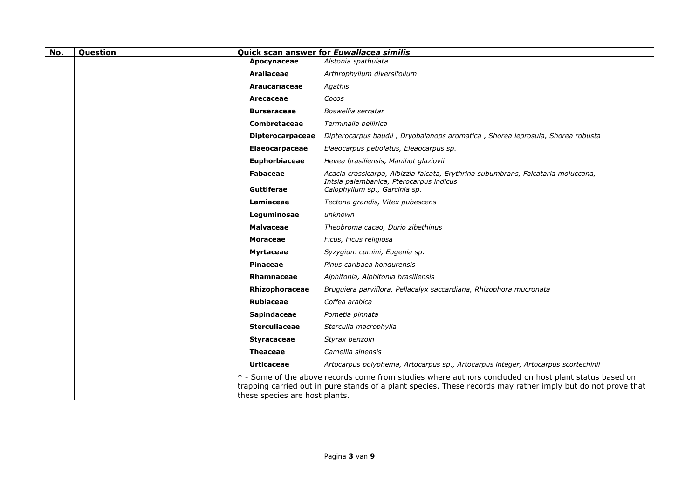| No. | Question |                                      | Quick scan answer for Euwallacea similis                                                                                                                                                                              |
|-----|----------|--------------------------------------|-----------------------------------------------------------------------------------------------------------------------------------------------------------------------------------------------------------------------|
|     |          | Apocynaceae                          | Alstonia spathulata                                                                                                                                                                                                   |
|     |          | Araliaceae                           | Arthrophyllum diversifolium                                                                                                                                                                                           |
|     |          | <b>Araucariaceae</b>                 | Agathis                                                                                                                                                                                                               |
|     |          | Arecaceae                            | Cocos                                                                                                                                                                                                                 |
|     |          | <b>Burseraceae</b>                   | Boswellia serratar                                                                                                                                                                                                    |
|     |          | Combretaceae                         | Terminalia bellirica                                                                                                                                                                                                  |
|     |          | <b>Dipterocarpaceae</b>              | Dipterocarpus baudii, Dryobalanops aromatica, Shorea leprosula, Shorea robusta                                                                                                                                        |
|     |          | <b>Elaeocarpaceae</b>                | Elaeocarpus petiolatus, Eleaocarpus sp.                                                                                                                                                                               |
|     |          | Euphorbiaceae                        | Hevea brasiliensis, Manihot glaziovii                                                                                                                                                                                 |
|     |          | <b>Fabaceae</b><br><b>Guttiferae</b> | Acacia crassicarpa, Albizzia falcata, Erythrina subumbrans, Falcataria moluccana,<br>Intsia palembanica, Pterocarpus indicus                                                                                          |
|     |          |                                      | Calophyllum sp., Garcinia sp.                                                                                                                                                                                         |
|     |          | Lamiaceae                            | Tectona grandis, Vitex pubescens                                                                                                                                                                                      |
|     |          | Leguminosae                          | unknown                                                                                                                                                                                                               |
|     |          | <b>Malvaceae</b>                     | Theobroma cacao, Durio zibethinus                                                                                                                                                                                     |
|     |          | <b>Moraceae</b>                      | Ficus, Ficus religiosa                                                                                                                                                                                                |
|     |          | <b>Myrtaceae</b>                     | Syzygium cumini, Eugenia sp.                                                                                                                                                                                          |
|     |          | Pinaceae                             | Pinus caribaea hondurensis                                                                                                                                                                                            |
|     |          | Rhamnaceae                           | Alphitonia, Alphitonia brasiliensis                                                                                                                                                                                   |
|     |          | Rhizophoraceae                       | Bruguiera parviflora, Pellacalyx saccardiana, Rhizophora mucronata                                                                                                                                                    |
|     |          | Rubiaceae                            | Coffea arabica                                                                                                                                                                                                        |
|     |          | <b>Sapindaceae</b>                   | Pometia pinnata                                                                                                                                                                                                       |
|     |          | <b>Sterculiaceae</b>                 | Sterculia macrophylla                                                                                                                                                                                                 |
|     |          | <b>Styracaceae</b>                   | Styrax benzoin                                                                                                                                                                                                        |
|     |          | <b>Theaceae</b>                      | Camellia sinensis                                                                                                                                                                                                     |
|     |          | <b>Urticaceae</b>                    | Artocarpus polyphema, Artocarpus sp., Artocarpus integer, Artocarpus scortechinii                                                                                                                                     |
|     |          | these species are host plants.       | * - Some of the above records come from studies where authors concluded on host plant status based on<br>trapping carried out in pure stands of a plant species. These records may rather imply but do not prove that |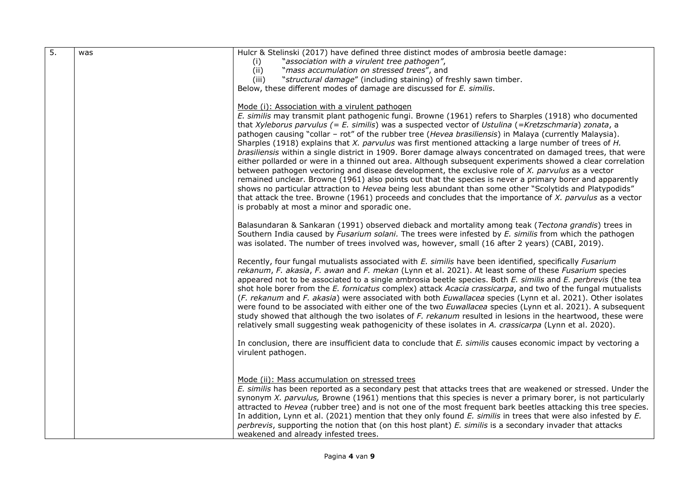| $\overline{5}$ . | was | Hulcr & Stelinski (2017) have defined three distinct modes of ambrosia beetle damage:                                                                                                                                     |
|------------------|-----|---------------------------------------------------------------------------------------------------------------------------------------------------------------------------------------------------------------------------|
|                  |     | "association with a virulent tree pathogen",<br>(i)                                                                                                                                                                       |
|                  |     | "mass accumulation on stressed trees", and<br>(ii)                                                                                                                                                                        |
|                  |     | "structural damage" (including staining) of freshly sawn timber.<br>(iii)                                                                                                                                                 |
|                  |     | Below, these different modes of damage are discussed for E. similis.                                                                                                                                                      |
|                  |     |                                                                                                                                                                                                                           |
|                  |     | Mode (i): Association with a virulent pathogen                                                                                                                                                                            |
|                  |     | E. similis may transmit plant pathogenic fungi. Browne (1961) refers to Sharples (1918) who documented                                                                                                                    |
|                  |     | that Xyleborus parvulus (= E. similis) was a suspected vector of Ustulina (=Kretzschmaria) zonata, a                                                                                                                      |
|                  |     | pathogen causing "collar - rot" of the rubber tree (Hevea brasiliensis) in Malaya (currently Malaysia).                                                                                                                   |
|                  |     | Sharples (1918) explains that X. parvulus was first mentioned attacking a large number of trees of H.                                                                                                                     |
|                  |     | brasiliensis within a single district in 1909. Borer damage always concentrated on damaged trees, that were<br>either pollarded or were in a thinned out area. Although subsequent experiments showed a clear correlation |
|                  |     | between pathogen vectoring and disease development, the exclusive role of X. parvulus as a vector                                                                                                                         |
|                  |     | remained unclear. Browne (1961) also points out that the species is never a primary borer and apparently                                                                                                                  |
|                  |     | shows no particular attraction to Hevea being less abundant than some other "Scolytids and Platypodids"                                                                                                                   |
|                  |     | that attack the tree. Browne (1961) proceeds and concludes that the importance of X. parvulus as a vector                                                                                                                 |
|                  |     | is probably at most a minor and sporadic one.                                                                                                                                                                             |
|                  |     |                                                                                                                                                                                                                           |
|                  |     | Balasundaran & Sankaran (1991) observed dieback and mortality among teak (Tectona grandis) trees in                                                                                                                       |
|                  |     | Southern India caused by Fusarium solani. The trees were infested by E. similis from which the pathogen                                                                                                                   |
|                  |     | was isolated. The number of trees involved was, however, small (16 after 2 years) (CABI, 2019).                                                                                                                           |
|                  |     | Recently, four fungal mutualists associated with E. similis have been identified, specifically Fusarium                                                                                                                   |
|                  |     | rekanum, F. akasia, F. awan and F. mekan (Lynn et al. 2021). At least some of these Fusarium species                                                                                                                      |
|                  |     | appeared not to be associated to a single ambrosia beetle species. Both E. similis and E. perbrevis (the tea                                                                                                              |
|                  |     | shot hole borer from the E. fornicatus complex) attack Acacia crassicarpa, and two of the fungal mutualists                                                                                                               |
|                  |     | (F. rekanum and F. akasia) were associated with both Euwallacea species (Lynn et al. 2021). Other isolates                                                                                                                |
|                  |     | were found to be associated with either one of the two Euwallacea species (Lynn et al. 2021). A subsequent                                                                                                                |
|                  |     | study showed that although the two isolates of F. rekanum resulted in lesions in the heartwood, these were                                                                                                                |
|                  |     | relatively small suggesting weak pathogenicity of these isolates in A. crassicarpa (Lynn et al. 2020).                                                                                                                    |
|                  |     | In conclusion, there are insufficient data to conclude that E. similis causes economic impact by vectoring a                                                                                                              |
|                  |     | virulent pathogen.                                                                                                                                                                                                        |
|                  |     |                                                                                                                                                                                                                           |
|                  |     |                                                                                                                                                                                                                           |
|                  |     | Mode (ii): Mass accumulation on stressed trees                                                                                                                                                                            |
|                  |     | E. similis has been reported as a secondary pest that attacks trees that are weakened or stressed. Under the                                                                                                              |
|                  |     | synonym X. parvulus, Browne (1961) mentions that this species is never a primary borer, is not particularly                                                                                                               |
|                  |     | attracted to Hevea (rubber tree) and is not one of the most frequent bark beetles attacking this tree species.                                                                                                            |
|                  |     | In addition, Lynn et al. (2021) mention that they only found E. similis in trees that were also infested by E.                                                                                                            |
|                  |     | perbrevis, supporting the notion that (on this host plant) E. similis is a secondary invader that attacks                                                                                                                 |
|                  |     | weakened and already infested trees.                                                                                                                                                                                      |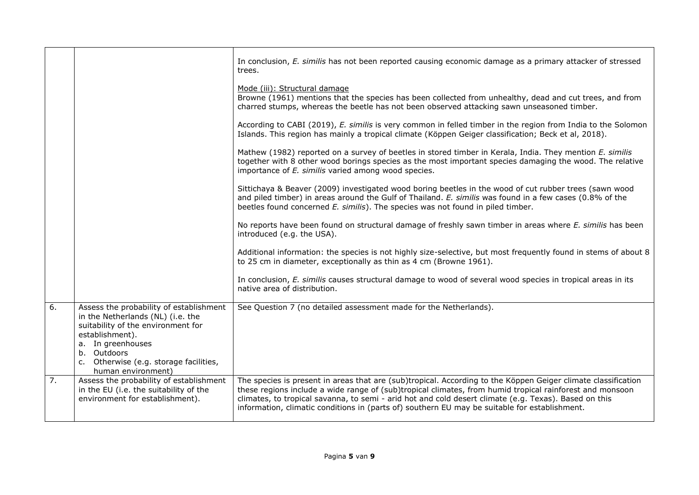|    |                                                                                                                                                                                                                                           | In conclusion, E. similis has not been reported causing economic damage as a primary attacker of stressed<br>trees.                                                                                                                                                                                                                                                                                                                 |
|----|-------------------------------------------------------------------------------------------------------------------------------------------------------------------------------------------------------------------------------------------|-------------------------------------------------------------------------------------------------------------------------------------------------------------------------------------------------------------------------------------------------------------------------------------------------------------------------------------------------------------------------------------------------------------------------------------|
|    |                                                                                                                                                                                                                                           | Mode (iii): Structural damage<br>Browne (1961) mentions that the species has been collected from unhealthy, dead and cut trees, and from<br>charred stumps, whereas the beetle has not been observed attacking sawn unseasoned timber.                                                                                                                                                                                              |
|    |                                                                                                                                                                                                                                           | According to CABI (2019), E. similis is very common in felled timber in the region from India to the Solomon<br>Islands. This region has mainly a tropical climate (Köppen Geiger classification; Beck et al, 2018).                                                                                                                                                                                                                |
|    |                                                                                                                                                                                                                                           | Mathew (1982) reported on a survey of beetles in stored timber in Kerala, India. They mention E. similis<br>together with 8 other wood borings species as the most important species damaging the wood. The relative<br>importance of E. similis varied among wood species.                                                                                                                                                         |
|    |                                                                                                                                                                                                                                           | Sittichaya & Beaver (2009) investigated wood boring beetles in the wood of cut rubber trees (sawn wood<br>and piled timber) in areas around the Gulf of Thailand. E. similis was found in a few cases (0.8% of the<br>beetles found concerned E. similis). The species was not found in piled timber.                                                                                                                               |
|    |                                                                                                                                                                                                                                           | No reports have been found on structural damage of freshly sawn timber in areas where E. similis has been<br>introduced (e.g. the USA).                                                                                                                                                                                                                                                                                             |
|    |                                                                                                                                                                                                                                           | Additional information: the species is not highly size-selective, but most frequently found in stems of about 8<br>to 25 cm in diameter, exceptionally as thin as 4 cm (Browne 1961).                                                                                                                                                                                                                                               |
|    |                                                                                                                                                                                                                                           | In conclusion, E. similis causes structural damage to wood of several wood species in tropical areas in its<br>native area of distribution.                                                                                                                                                                                                                                                                                         |
| 6. | Assess the probability of establishment<br>in the Netherlands (NL) (i.e. the<br>suitability of the environment for<br>establishment).<br>a. In greenhouses<br>b. Outdoors<br>c. Otherwise (e.g. storage facilities,<br>human environment) | See Question 7 (no detailed assessment made for the Netherlands).                                                                                                                                                                                                                                                                                                                                                                   |
| 7. | Assess the probability of establishment<br>in the EU (i.e. the suitability of the<br>environment for establishment).                                                                                                                      | The species is present in areas that are (sub)tropical. According to the Köppen Geiger climate classification<br>these regions include a wide range of (sub)tropical climates, from humid tropical rainforest and monsoon<br>climates, to tropical savanna, to semi - arid hot and cold desert climate (e.g. Texas). Based on this<br>information, climatic conditions in (parts of) southern EU may be suitable for establishment. |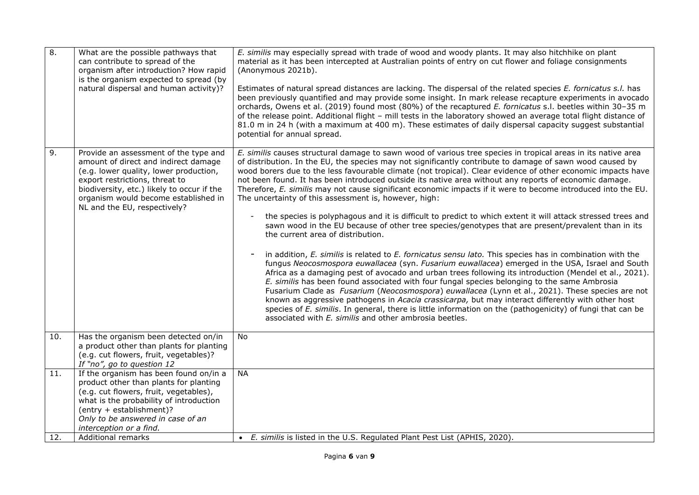| $\overline{8}$ . | What are the possible pathways that<br>can contribute to spread of the<br>organism after introduction? How rapid<br>is the organism expected to spread (by<br>natural dispersal and human activity)?                                                                                    | E. similis may especially spread with trade of wood and woody plants. It may also hitchhike on plant<br>material as it has been intercepted at Australian points of entry on cut flower and foliage consignments<br>(Anonymous 2021b).<br>Estimates of natural spread distances are lacking. The dispersal of the related species E. fornicatus s.l. has<br>been previously quantified and may provide some insight. In mark release recapture experiments in avocado<br>orchards, Owens et al. (2019) found most (80%) of the recaptured E. fornicatus s.l. beetles within 30-35 m<br>of the release point. Additional flight - mill tests in the laboratory showed an average total flight distance of<br>81.0 m in 24 h (with a maximum at 400 m). These estimates of daily dispersal capacity suggest substantial<br>potential for annual spread.                                                                                                                                                                                                                                                                                                                                                                                                                                                                                                                                                                                                                                                                                                                                                                                                                                              |
|------------------|-----------------------------------------------------------------------------------------------------------------------------------------------------------------------------------------------------------------------------------------------------------------------------------------|----------------------------------------------------------------------------------------------------------------------------------------------------------------------------------------------------------------------------------------------------------------------------------------------------------------------------------------------------------------------------------------------------------------------------------------------------------------------------------------------------------------------------------------------------------------------------------------------------------------------------------------------------------------------------------------------------------------------------------------------------------------------------------------------------------------------------------------------------------------------------------------------------------------------------------------------------------------------------------------------------------------------------------------------------------------------------------------------------------------------------------------------------------------------------------------------------------------------------------------------------------------------------------------------------------------------------------------------------------------------------------------------------------------------------------------------------------------------------------------------------------------------------------------------------------------------------------------------------------------------------------------------------------------------------------------------------|
| 9.               | Provide an assessment of the type and<br>amount of direct and indirect damage<br>(e.g. lower quality, lower production,<br>export restrictions, threat to<br>biodiversity, etc.) likely to occur if the<br>organism would become established in<br>NL and the EU, respectively?         | E. similis causes structural damage to sawn wood of various tree species in tropical areas in its native area<br>of distribution. In the EU, the species may not significantly contribute to damage of sawn wood caused by<br>wood borers due to the less favourable climate (not tropical). Clear evidence of other economic impacts have<br>not been found. It has been introduced outside its native area without any reports of economic damage.<br>Therefore, E. similis may not cause significant economic impacts if it were to become introduced into the EU.<br>The uncertainty of this assessment is, however, high:<br>the species is polyphagous and it is difficult to predict to which extent it will attack stressed trees and<br>sawn wood in the EU because of other tree species/genotypes that are present/prevalent than in its<br>the current area of distribution.<br>in addition, E. similis is related to E. fornicatus sensu lato. This species has in combination with the<br>fungus Neocosmospora euwallacea (syn. Fusarium euwallacea) emerged in the USA, Israel and South<br>Africa as a damaging pest of avocado and urban trees following its introduction (Mendel et al., 2021).<br>E. similis has been found associated with four fungal species belonging to the same Ambrosia<br>Fusarium Clade as Fusarium (Neocosmospora) euwallacea (Lynn et al., 2021). These species are not<br>known as aggressive pathogens in Acacia crassicarpa, but may interact differently with other host<br>species of E. similis. In general, there is little information on the (pathogenicity) of fungi that can be<br>associated with E. similis and other ambrosia beetles. |
| 10.              | Has the organism been detected on/in<br>a product other than plants for planting<br>(e.g. cut flowers, fruit, vegetables)?<br>If "no", go to question 12                                                                                                                                | <b>No</b>                                                                                                                                                                                                                                                                                                                                                                                                                                                                                                                                                                                                                                                                                                                                                                                                                                                                                                                                                                                                                                                                                                                                                                                                                                                                                                                                                                                                                                                                                                                                                                                                                                                                                          |
| 11.              | If the organism has been found on/in a<br>product other than plants for planting<br>(e.g. cut flowers, fruit, vegetables),<br>what is the probability of introduction<br>(entry + establishment)?<br>Only to be answered in case of an<br>interception or a find.<br>Additional remarks | <b>NA</b><br>• E. similis is listed in the U.S. Regulated Plant Pest List (APHIS, 2020).                                                                                                                                                                                                                                                                                                                                                                                                                                                                                                                                                                                                                                                                                                                                                                                                                                                                                                                                                                                                                                                                                                                                                                                                                                                                                                                                                                                                                                                                                                                                                                                                           |
| 12.              |                                                                                                                                                                                                                                                                                         |                                                                                                                                                                                                                                                                                                                                                                                                                                                                                                                                                                                                                                                                                                                                                                                                                                                                                                                                                                                                                                                                                                                                                                                                                                                                                                                                                                                                                                                                                                                                                                                                                                                                                                    |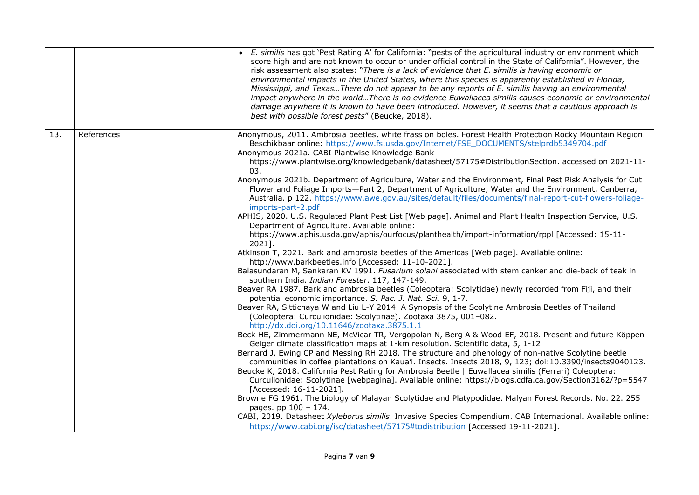|     |            | • E. similis has got 'Pest Rating A' for California: "pests of the agricultural industry or environment which<br>score high and are not known to occur or under official control in the State of California". However, the<br>risk assessment also states: "There is a lack of evidence that E. similis is having economic or<br>environmental impacts in the United States, where this species is apparently established in Florida,<br>Mississippi, and TexasThere do not appear to be any reports of E. similis having an environmental<br>impact anywhere in the worldThere is no evidence Euwallacea similis causes economic or environmental<br>damage anywhere it is known to have been introduced. However, it seems that a cautious approach is<br>best with possible forest pests" (Beucke, 2018).                                                                                                                                                                                                                                                                                                                                                                                                                                                                                                                                                                                                                                                                                                                                                                                                                                                                                                                                                                                                                                                                                                                                                                                                                                                                                                                                                                                                                                                                                                                                                                                                                                                                                                                                                                                                                                                                                              |
|-----|------------|-----------------------------------------------------------------------------------------------------------------------------------------------------------------------------------------------------------------------------------------------------------------------------------------------------------------------------------------------------------------------------------------------------------------------------------------------------------------------------------------------------------------------------------------------------------------------------------------------------------------------------------------------------------------------------------------------------------------------------------------------------------------------------------------------------------------------------------------------------------------------------------------------------------------------------------------------------------------------------------------------------------------------------------------------------------------------------------------------------------------------------------------------------------------------------------------------------------------------------------------------------------------------------------------------------------------------------------------------------------------------------------------------------------------------------------------------------------------------------------------------------------------------------------------------------------------------------------------------------------------------------------------------------------------------------------------------------------------------------------------------------------------------------------------------------------------------------------------------------------------------------------------------------------------------------------------------------------------------------------------------------------------------------------------------------------------------------------------------------------------------------------------------------------------------------------------------------------------------------------------------------------------------------------------------------------------------------------------------------------------------------------------------------------------------------------------------------------------------------------------------------------------------------------------------------------------------------------------------------------------------------------------------------------------------------------------------------------|
| 13. | References | Anonymous, 2011. Ambrosia beetles, white frass on boles. Forest Health Protection Rocky Mountain Region.<br>Beschikbaar online: https://www.fs.usda.gov/Internet/FSE_DOCUMENTS/stelprdb5349704.pdf<br>Anonymous 2021a. CABI Plantwise Knowledge Bank<br>https://www.plantwise.org/knowledgebank/datasheet/57175#DistributionSection. accessed on 2021-11-<br>03.<br>Anonymous 2021b. Department of Agriculture, Water and the Environment, Final Pest Risk Analysis for Cut<br>Flower and Foliage Imports-Part 2, Department of Agriculture, Water and the Environment, Canberra,<br>Australia. p 122. https://www.awe.gov.au/sites/default/files/documents/final-report-cut-flowers-foliage-<br>imports-part-2.pdf<br>APHIS, 2020. U.S. Regulated Plant Pest List [Web page]. Animal and Plant Health Inspection Service, U.S.<br>Department of Agriculture. Available online:<br>https://www.aphis.usda.gov/aphis/ourfocus/planthealth/import-information/rppl [Accessed: 15-11-<br>2021].<br>Atkinson T, 2021. Bark and ambrosia beetles of the Americas [Web page]. Available online:<br>http://www.barkbeetles.info [Accessed: 11-10-2021].<br>Balasundaran M, Sankaran KV 1991. Fusarium solani associated with stem canker and die-back of teak in<br>southern India. Indian Forester. 117, 147-149.<br>Beaver RA 1987. Bark and ambrosia beetles (Coleoptera: Scolytidae) newly recorded from Fiji, and their<br>potential economic importance. S. Pac. J. Nat. Sci. 9, 1-7.<br>Beaver RA, Sittichaya W and Liu L-Y 2014. A Synopsis of the Scolytine Ambrosia Beetles of Thailand<br>(Coleoptera: Curculionidae: Scolytinae). Zootaxa 3875, 001-082.<br>http://dx.doi.org/10.11646/zootaxa.3875.1.1<br>Beck HE, Zimmermann NE, McVicar TR, Vergopolan N, Berg A & Wood EF, 2018. Present and future Köppen-<br>Geiger climate classification maps at 1-km resolution. Scientific data, 5, 1-12<br>Bernard J, Ewing CP and Messing RH 2018. The structure and phenology of non-native Scolytine beetle<br>communities in coffee plantations on Kaua'i. Insects. Insects 2018, 9, 123; doi:10.3390/insects9040123.<br>Beucke K, 2018. California Pest Rating for Ambrosia Beetle   Euwallacea similis (Ferrari) Coleoptera:<br>Curculionidae: Scolytinae [webpagina]. Available online: https://blogs.cdfa.ca.gov/Section3162/?p=5547<br>[Accessed: 16-11-2021].<br>Browne FG 1961. The biology of Malayan Scolytidae and Platypodidae. Malyan Forest Records. No. 22. 255<br>pages. pp 100 - 174.<br>CABI, 2019. Datasheet Xyleborus similis. Invasive Species Compendium. CAB International. Available online:<br>https://www.cabi.org/isc/datasheet/57175#todistribution [Accessed 19-11-2021]. |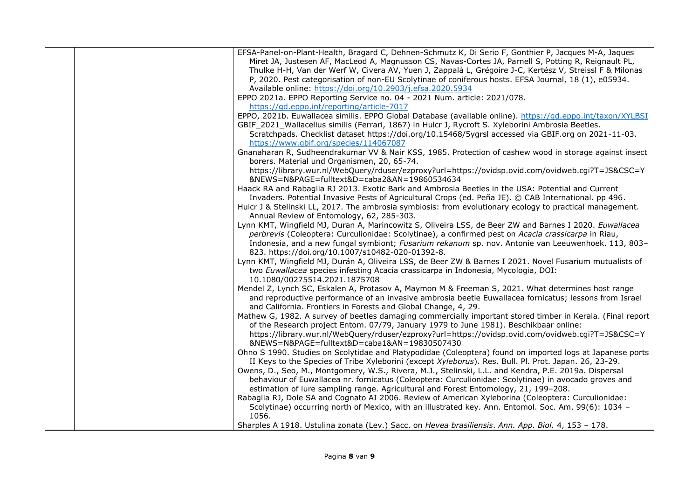| EFSA-Panel-on-Plant-Health, Bragard C, Dehnen-Schmutz K, Di Serio F, Gonthier P, Jacques M-A, Jaques       |
|------------------------------------------------------------------------------------------------------------|
| Miret JA, Justesen AF, MacLeod A, Magnusson CS, Navas-Cortes JA, Parnell S, Potting R, Reignault PL,       |
| Thulke H-H, Van der Werf W, Civera AV, Yuen J, Zappalà L, Grégoire J-C, Kertész V, Streissl F & Milonas    |
| P, 2020. Pest categorisation of non-EU Scolytinae of coniferous hosts. EFSA Journal, 18 (1), e05934.       |
| Available online: https://doi.org/10.2903/j.efsa.2020.5934                                                 |
| EPPO 2021a. EPPO Reporting Service no. 04 - 2021 Num. article: 2021/078.                                   |
| https://gd.eppo.int/reporting/article-7017                                                                 |
| EPPO, 2021b. Euwallacea similis. EPPO Global Database (available online). https://qd.eppo.int/taxon/XYLBSI |
| GBIF_2021_Wallacellus similis (Ferrari, 1867) in Hulcr J, Rycroft S. Xyleborini Ambrosia Beetles.          |
| Scratchpads. Checklist dataset https://doi.org/10.15468/5ygrsl accessed via GBIF.org on 2021-11-03.        |
| https://www.gbif.org/species/114067087                                                                     |
| Gnanaharan R, Sudheendrakumar VV & Nair KSS, 1985. Protection of cashew wood in storage against insect     |
| borers. Material und Organismen, 20, 65-74.                                                                |
| https://library.wur.nl/WebQuery/rduser/ezproxy?url=https://ovidsp.ovid.com/ovidweb.cgi?T=JS&CSC=Y          |
| &NEWS=N&PAGE=fulltext&D=caba2&AN=19860534634                                                               |
| Haack RA and Rabaglia RJ 2013. Exotic Bark and Ambrosia Beetles in the USA: Potential and Current          |
| Invaders. Potential Invasive Pests of Agricultural Crops (ed. Peña JE). © CAB International. pp 496.       |
| Hulcr J & Stelinski LL, 2017. The ambrosia symbiosis: from evolutionary ecology to practical management.   |
| Annual Review of Entomology, 62, 285-303.                                                                  |
| Lynn KMT, Wingfield MJ, Duran A, Marincowitz S, Oliveira LSS, de Beer ZW and Barnes I 2020. Euwallacea     |
| perbrevis (Coleoptera: Curculionidae: Scolytinae), a confirmed pest on Acacia crassicarpa in Riau,         |
| Indonesia, and a new fungal symbiont; Fusarium rekanum sp. nov. Antonie van Leeuwenhoek. 113, 803-         |
| 823. https://doi.org/10.1007/s10482-020-01392-8.                                                           |
| Lynn KMT, Wingfield MJ, Durán A, Oliveira LSS, de Beer ZW & Barnes I 2021. Novel Fusarium mutualists of    |
| two Euwallacea species infesting Acacia crassicarpa in Indonesia, Mycologia, DOI:                          |
| 10.1080/00275514.2021.1875708                                                                              |
| Mendel Z, Lynch SC, Eskalen A, Protasov A, Maymon M & Freeman S, 2021. What determines host range          |
| and reproductive performance of an invasive ambrosia beetle Euwallacea fornicatus; lessons from Israel     |
| and California. Frontiers in Forests and Global Change, 4, 29.                                             |
| Mathew G, 1982. A survey of beetles damaging commercially important stored timber in Kerala. (Final report |
| of the Research project Entom. 07/79, January 1979 to June 1981). Beschikbaar online:                      |
| https://library.wur.nl/WebQuery/rduser/ezproxy?url=https://ovidsp.ovid.com/ovidweb.cgi?T=JS&CSC=Y          |
| &NEWS=N&PAGE=fulltext&D=caba1&AN=19830507430                                                               |
| Ohno S 1990. Studies on Scolytidae and Platypodidae (Coleoptera) found on imported logs at Japanese ports  |
| II Keys to the Species of Tribe Xyleborini (except Xyleborus). Res. Bull. Pl. Prot. Japan. 26, 23-29.      |
| Owens, D., Seo, M., Montgomery, W.S., Rivera, M.J., Stelinski, L.L. and Kendra, P.E. 2019a. Dispersal      |
| behaviour of Euwallacea nr. fornicatus (Coleoptera: Curculionidae: Scolytinae) in avocado groves and       |
| estimation of lure sampling range. Agricultural and Forest Entomology, 21, 199-208.                        |
| Rabaglia RJ, Dole SA and Cognato AI 2006. Review of American Xyleborina (Coleoptera: Curculionidae:        |
| Scolytinae) occurring north of Mexico, with an illustrated key. Ann. Entomol. Soc. Am. 99(6): 1034 -       |
| 1056.                                                                                                      |
| Sharples A 1918. Ustulina zonata (Lev.) Sacc. on Hevea brasiliensis. Ann. App. Biol. 4, 153 - 178.         |